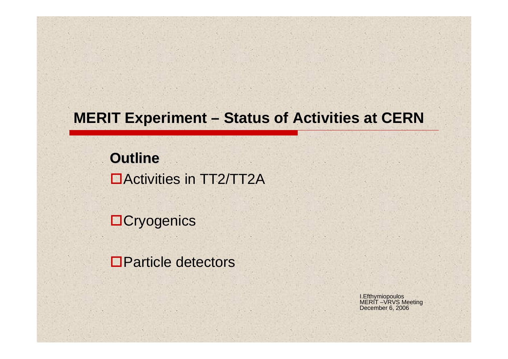## **MERIT Experiment – Status of Activities at CERN**

**Outline Outline** Activities in TT2/TT2A

**OCryogenics** 

**□Particle detectors** 

I.Efthymiopoulos MERIT –VRVS Meeting December 6, 2006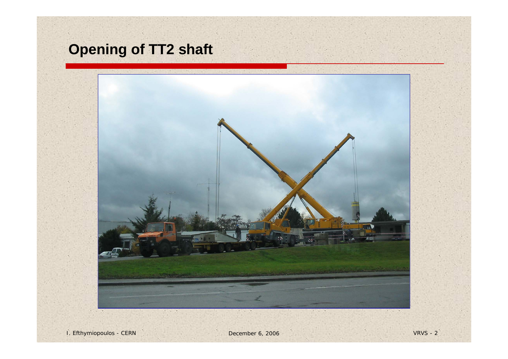# **Opening of TT2 shaft**

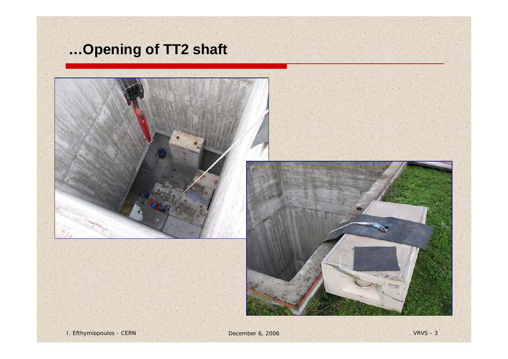## **…Opening of TT2 shaft**

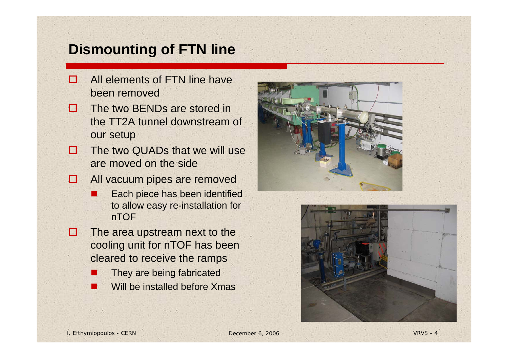### **Dismounting of FTN line**

- $\Box$  All elements of FTN line have been removed
- $\mathbf{L}$  The two BENDs are stored in the TT2A tunnel downstream of our setup
- п The two QUADs that we will use are moved on the side
- о All vacuum pipes are removed
	- $\Box$  Each piece has been identified to allow easy re-installation for nTOF
- П The area upstream next to the cooling unit for nTOF has been cleared to receive the ramps
	- They are being fabricated
	- M. Will be installed before Xmas



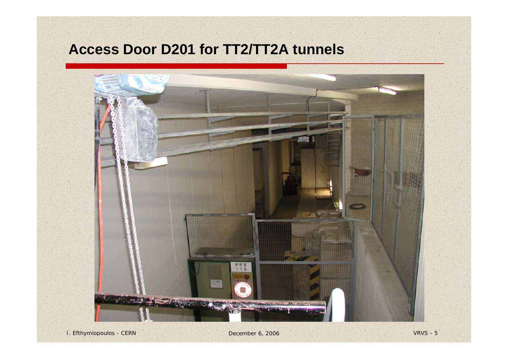## **Access Door D201 for TT2/TT2A tunnels**

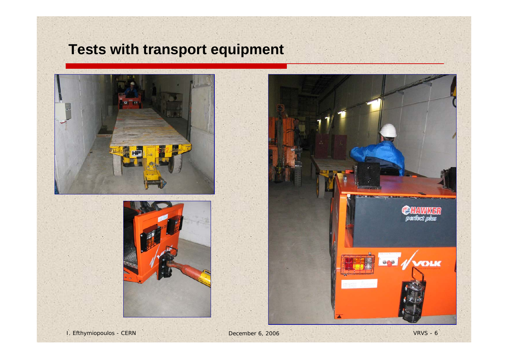## **Tests with transport equipment**





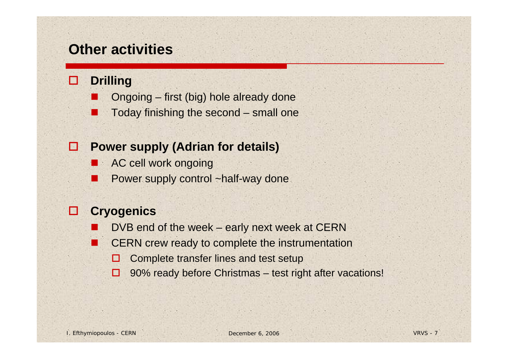### **Other activities**

#### O **Drilling**

- Ongoing first (big) hole already done
- П Today finishing the second – small one

#### o **Power supply (Adrian for details)**

- **AC cell work ongoing**
- Power supply control ~half-way done

#### O **Cryogenics**

- $\overline{\phantom{a}}$ DVB end of the week – early next week at CERN
- CERN crew ready to complete the instrumentation
	- п Complete transfer lines and test setup
	- 90% ready before Christmas – test right after vacations!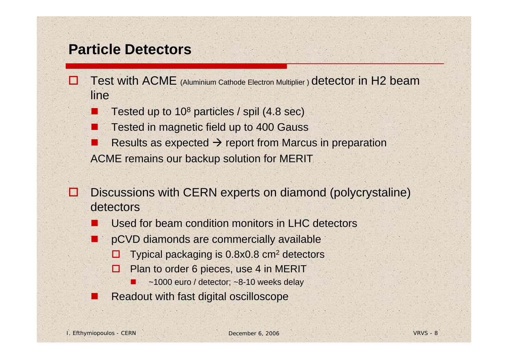### **Particle Detectors**

- M Test with ACME (Aluminium Cathode Electron Multiplier ) detector in H2 beam line
	- Tested up to 108 particles / spil (4.8 sec)
	- Tested in magnetic field up to 400 Gauss
	- Results as expected  $\rightarrow$  report from Marcus in preparation ACME remains our backup solution for MERIT
- □ Discussions with CERN experts on diamond (polycrystaline) detectors
	- $\overline{\phantom{a}}$ Used for beam condition monitors in LHC detectors
	- pCVD diamonds are commercially available
		- □ Typical packaging is 0.8x0.8 cm2 detectors
		- 0. Plan to order 6 pieces, use 4 in MERIT
			- $\blacksquare$ ~1000 euro / detector; ~8-10 weeks delay
	- Readout with fast digital oscilloscope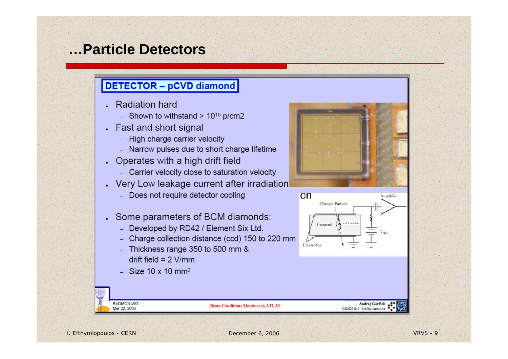### **…Particle Detectors**

### **DETECTOR - pCVD diamond**

- Radiation hard
	- Shown to withstand  $> 10^{15}$  p/cm2
- Fast and short signal  $\ddot{\phantom{0}}$ 
	- High charge carrier velocity
	- Narrow pulses due to short charge lifetime
- Operates with a high drift field
	- Carrier velocity close to saturation velocity
- Very Low leakage current after irradiation
	- Does not require detector cooling
- Some parameters of BCM diamonds:
	- Developed by RD42 / Element Six Ltd.
	- Charge collection distance (ccd) 150 to 220 mm
	- Thickness range 350 to 500 mm & drift field =  $2$  V/mm
	- Size  $10 \times 10$  mm<sup>2</sup>





Andrej Gorišek<br>CERN & J. Stefan Institute

RADMON WG

Mar 22, 2005

**Beam Conditions Monitors in ATLAS**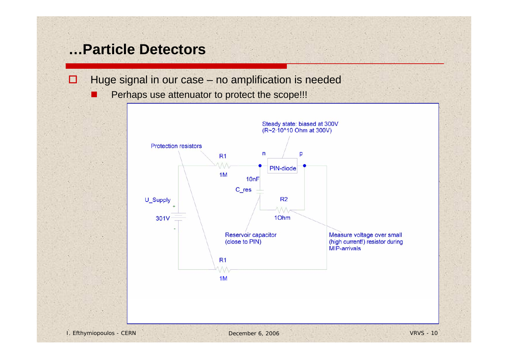### **…Particle Detectors**

П

- $\Box$  Huge signal in our case – no amplification is needed
	- Perhaps use attenuator to protect the scope!!!